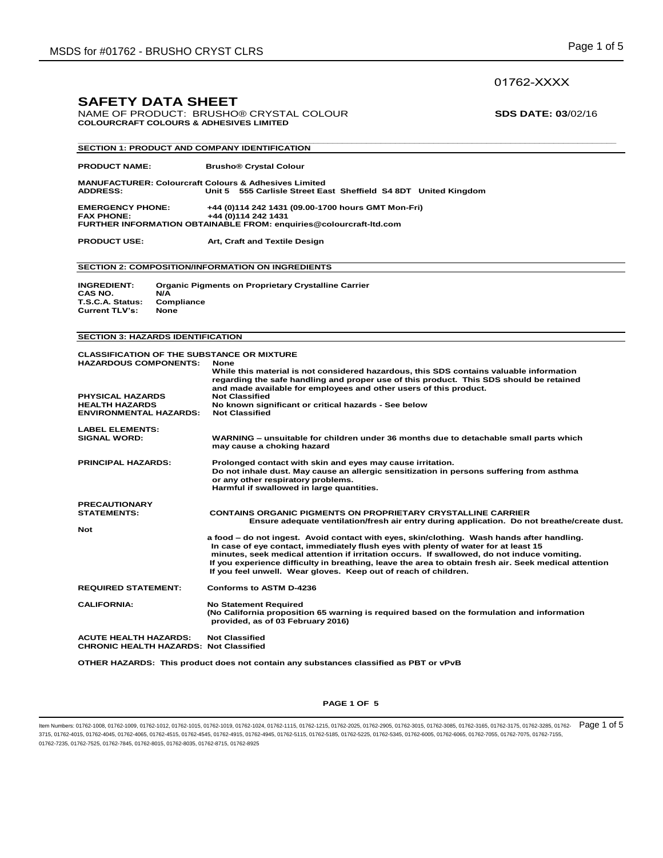## 01762-XXXX

## **SAFETY DATA SHEET**

NAME OF PRODUCT: BRUSHO<sup>®</sup> CRYSTAL COLOUR **SDS DATE: 03**/02/16 **COLOURCRAFT COLOURS & ADHESIVES LIMITED** 

| <b>SECTION 1: PRODUCT AND COMPANY IDENTIFICATION</b>                                                                                                                   |                                                                                                                                                                                                                                                                                                                                                                                                                                                              |
|------------------------------------------------------------------------------------------------------------------------------------------------------------------------|--------------------------------------------------------------------------------------------------------------------------------------------------------------------------------------------------------------------------------------------------------------------------------------------------------------------------------------------------------------------------------------------------------------------------------------------------------------|
| <b>PRODUCT NAME:</b>                                                                                                                                                   | <b>Brusho® Crystal Colour</b>                                                                                                                                                                                                                                                                                                                                                                                                                                |
| <b>MANUFACTURER: Colourcraft Colours &amp; Adhesives Limited</b><br><b>ADDRESS:</b>                                                                                    | Unit 5 555 Carlisle Street East Sheffield S4 8DT United Kingdom                                                                                                                                                                                                                                                                                                                                                                                              |
| <b>EMERGENCY PHONE:</b><br><b>FAX PHONE:</b>                                                                                                                           | +44 (0)114 242 1431 (09.00-1700 hours GMT Mon-Fri)<br>+44 (0)114 242 1431<br>FURTHER INFORMATION OBTAINABLE FROM: enquiries@colourcraft-ltd.com                                                                                                                                                                                                                                                                                                              |
| <b>PRODUCT USE:</b>                                                                                                                                                    | Art, Craft and Textile Design                                                                                                                                                                                                                                                                                                                                                                                                                                |
|                                                                                                                                                                        | <b>SECTION 2: COMPOSITION/INFORMATION ON INGREDIENTS</b>                                                                                                                                                                                                                                                                                                                                                                                                     |
| <b>INGREDIENT:</b><br>CAS NO.<br>N/A<br>T.S.C.A. Status:<br>Compliance<br><b>Current TLV's:</b><br><b>None</b>                                                         | <b>Organic Pigments on Proprietary Crystalline Carrier</b>                                                                                                                                                                                                                                                                                                                                                                                                   |
| <b>SECTION 3: HAZARDS IDENTIFICATION</b>                                                                                                                               |                                                                                                                                                                                                                                                                                                                                                                                                                                                              |
| <b>CLASSIFICATION OF THE SUBSTANCE OR MIXTURE</b><br><b>HAZARDOUS COMPONENTS:</b><br><b>PHYSICAL HAZARDS</b><br><b>HEALTH HAZARDS</b><br><b>ENVIRONMENTAL HAZARDS:</b> | <b>None</b><br>While this material is not considered hazardous, this SDS contains valuable information<br>regarding the safe handling and proper use of this product. This SDS should be retained<br>and made available for employees and other users of this product.<br><b>Not Classified</b><br>No known significant or critical hazards - See below<br><b>Not Classified</b>                                                                             |
| <b>LABEL ELEMENTS:</b><br><b>SIGNAL WORD:</b>                                                                                                                          | WARNING - unsuitable for children under 36 months due to detachable small parts which<br>may cause a choking hazard                                                                                                                                                                                                                                                                                                                                          |
| <b>PRINCIPAL HAZARDS:</b>                                                                                                                                              | Prolonged contact with skin and eyes may cause irritation.<br>Do not inhale dust. May cause an allergic sensitization in persons suffering from asthma<br>or any other respiratory problems.<br>Harmful if swallowed in large quantities.                                                                                                                                                                                                                    |
| <b>PRECAUTIONARY</b><br><b>STATEMENTS:</b><br><b>Not</b>                                                                                                               | <b>CONTAINS ORGANIC PIGMENTS ON PROPRIETARY CRYSTALLINE CARRIER</b><br>Ensure adequate ventilation/fresh air entry during application. Do not breathe/create dust.                                                                                                                                                                                                                                                                                           |
|                                                                                                                                                                        | a food – do not ingest. Avoid contact with eyes, skin/clothing. Wash hands after handling.<br>In case of eye contact, immediately flush eyes with plenty of water for at least 15<br>minutes, seek medical attention if irritation occurs. If swallowed, do not induce vomiting.<br>If you experience difficulty in breathing, leave the area to obtain fresh air. Seek medical attention<br>If you feel unwell. Wear gloves. Keep out of reach of children. |
| <b>REQUIRED STATEMENT:</b>                                                                                                                                             | <b>Conforms to ASTM D-4236</b>                                                                                                                                                                                                                                                                                                                                                                                                                               |
| <b>CALIFORNIA:</b>                                                                                                                                                     | <b>No Statement Required</b><br>(No California proposition 65 warning is required based on the formulation and information<br>provided, as of 03 February 2016)                                                                                                                                                                                                                                                                                              |
| <b>ACUTE HEALTH HAZARDS:</b><br><b>CHRONIC HEALTH HAZARDS: Not Classified</b>                                                                                          | <b>Not Classified</b>                                                                                                                                                                                                                                                                                                                                                                                                                                        |

**OTHER HAZARDS: This product does not contain any substances classified as PBT or vPvB** 

#### **PAGE 1 OF 5**

ltem Numbers: 01762-1008, 01762-1009, 01762-1012, 01762-1015, 01762-1019, 01762-1024, 01762-1115, 01762-1115, 01762-1215, 01762-2005, 01762-3015, 01762-3015, 01762-3015, 01762-3165, 01762-3175, 01762-3285, 01762-3175, 0176 3715, 01762-4015, 01762-4045, 01762-4065, 01762-4515, 01762-4545, 01762-4915, 01762-4945, 01762-5115, 01762-5185, 01762-5225, 01762-5345, 01762-6005, 01762-6065, 01762-7055, 01762-7075, 01762-7155, 01762-7235, 01762-7525, 01762-7845, 01762-8015, 01762-8035, 01762-8715, 01762-8925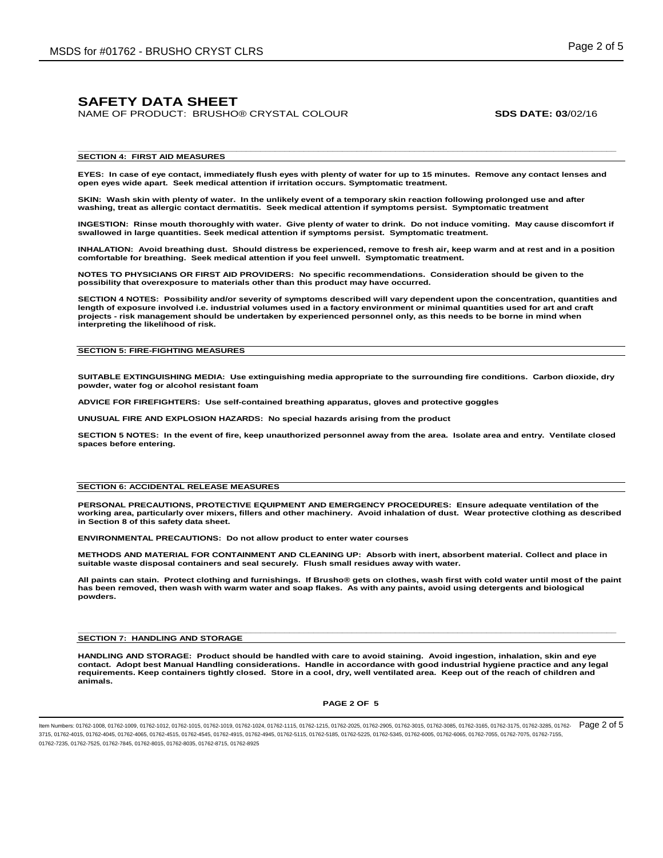NAME OF PRODUCT: BRUSHO® CRYSTAL COLOUR **SDS DATE: 03**/02/16

#### **\_\_\_\_\_\_\_\_\_\_\_\_\_\_\_\_\_\_\_\_\_\_\_\_\_\_\_\_\_\_\_\_\_\_\_\_\_\_\_\_\_\_\_\_\_\_\_\_\_\_\_\_\_\_\_\_\_\_\_\_\_\_\_\_\_\_\_\_\_\_\_\_\_\_\_\_\_\_\_\_\_\_\_\_\_\_\_\_\_\_\_\_\_\_\_\_\_\_\_\_\_\_\_\_\_\_\_\_\_\_\_\_ SECTION 4: FIRST AID MEASURES**

**EYES: In case of eye contact, immediately flush eyes with plenty of water for up to 15 minutes. Remove any contact lenses and open eyes wide apart. Seek medical attention if irritation occurs. Symptomatic treatment.**

**SKIN: Wash skin with plenty of water. In the unlikely event of a temporary skin reaction following prolonged use and after washing, treat as allergic contact dermatitis. Seek medical attention if symptoms persist. Symptomatic treatment**

**INGESTION: Rinse mouth thoroughly with water. Give plenty of water to drink. Do not induce vomiting. May cause discomfort if swallowed in large quantities. Seek medical attention if symptoms persist. Symptomatic treatment.** 

**INHALATION: Avoid breathing dust. Should distress be experienced, remove to fresh air, keep warm and at rest and in a position comfortable for breathing. Seek medical attention if you feel unwell. Symptomatic treatment.** 

**NOTES TO PHYSICIANS OR FIRST AID PROVIDERS: No specific recommendations. Consideration should be given to the possibility that overexposure to materials other than this product may have occurred.**

**SECTION 4 NOTES: Possibility and/or severity of symptoms described will vary dependent upon the concentration, quantities and length of exposure involved i.e. industrial volumes used in a factory environment or minimal quantities used for art and craft projects - risk management should be undertaken by experienced personnel only, as this needs to be borne in mind when interpreting the likelihood of risk.**

#### **SECTION 5: FIRE-FIGHTING MEASURES**

**SUITABLE EXTINGUISHING MEDIA: Use extinguishing media appropriate to the surrounding fire conditions. Carbon dioxide, dry powder, water fog or alcohol resistant foam**

**ADVICE FOR FIREFIGHTERS: Use self-contained breathing apparatus, gloves and protective goggles**

**UNUSUAL FIRE AND EXPLOSION HAZARDS: No special hazards arising from the product**

**SECTION 5 NOTES: In the event of fire, keep unauthorized personnel away from the area. Isolate area and entry. Ventilate closed spaces before entering.**

#### **SECTION 6: ACCIDENTAL RELEASE MEASURES**

**PERSONAL PRECAUTIONS, PROTECTIVE EQUIPMENT AND EMERGENCY PROCEDURES: Ensure adequate ventilation of the working area, particularly over mixers, fillers and other machinery. Avoid inhalation of dust. Wear protective clothing as described in Section 8 of this safety data sheet.**

**ENVIRONMENTAL PRECAUTIONS: Do not allow product to enter water courses**

**METHODS AND MATERIAL FOR CONTAINMENT AND CLEANING UP: Absorb with inert, absorbent material. Collect and place in suitable waste disposal containers and seal securely. Flush small residues away with water.**

**All paints can stain. Protect clothing and furnishings. If Brusho® gets on clothes, wash first with cold water until most of the paint has been removed, then wash with warm water and soap flakes. As with any paints, avoid using detergents and biological powders.** 

**\_\_\_\_\_\_\_\_\_\_\_\_\_\_\_\_\_\_\_\_\_\_\_\_\_\_\_\_\_\_\_\_\_\_\_\_\_\_\_\_\_\_\_\_\_\_\_\_\_\_\_\_\_\_\_\_\_\_\_\_\_\_\_\_\_\_\_\_\_\_\_\_\_\_\_\_\_\_\_\_\_\_\_\_\_\_\_\_\_\_\_\_\_\_\_\_\_\_\_\_\_\_\_\_\_\_\_\_\_\_\_\_**

#### **SECTION 7: HANDLING AND STORAGE**

**HANDLING AND STORAGE: Product should be handled with care to avoid staining. Avoid ingestion, inhalation, skin and eye contact. Adopt best Manual Handling considerations. Handle in accordance with good industrial hygiene practice and any legal requirements. Keep containers tightly closed. Store in a cool, dry, well ventilated area. Keep out of the reach of children and animals.** 

#### **PAGE 2 OF 5**

Item Numbers: 01762-1008, 01762-1009, 01762-1012, 01762-1015, 01762-1019, 01762-1024, 01762-1115, 01762-1215, 01762-2025, 01762-2905, 01762-3015, 01762-3085, 01762-3165, 01762-3175, 01762-3285, 01762- 3715, 01762-4015, 01762-4045, 01762-4065, 01762-4515, 01762-4545, 01762-4915, 01762-4945, 01762-5115, 01762-5185, 01762-5225, 01762-5345, 01762-6005, 01762-6065, 01762-7055, 01762-7075, 01762-7155, 01762-7235, 01762-7525, 01762-7845, 01762-8015, 01762-8035, 01762-8715, 01762-8925 Page 2 of 5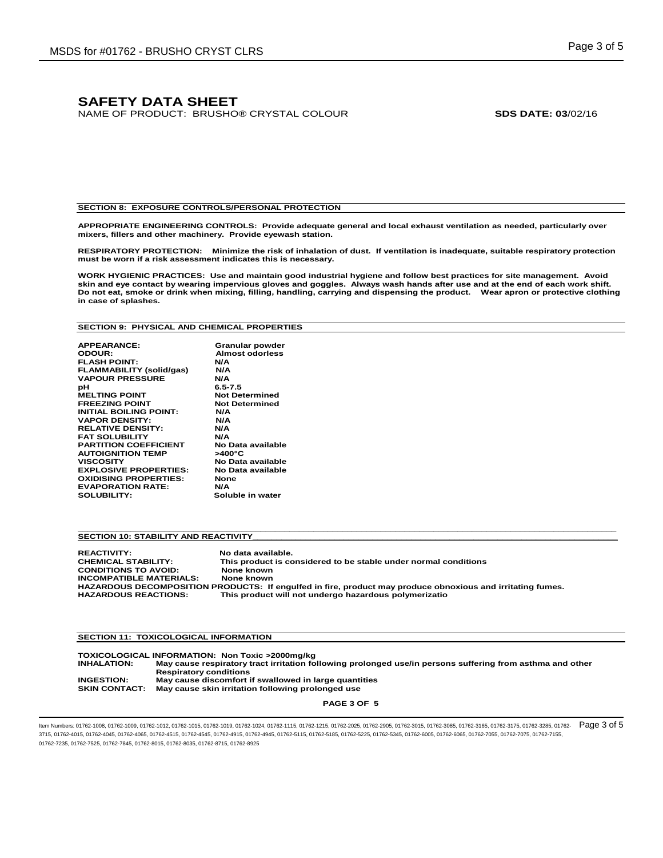NAME OF PRODUCT: BRUSHO® CRYSTAL COLOUR **SDS DATE: 03**/02/16

#### **SECTION 8: EXPOSURE CONTROLS/PERSONAL PROTECTION**

**APPROPRIATE ENGINEERING CONTROLS: Provide adequate general and local exhaust ventilation as needed, particularly over mixers, fillers and other machinery. Provide eyewash station.**

**RESPIRATORY PROTECTION: Minimize the risk of inhalation of dust. If ventilation is inadequate, suitable respiratory protection must be worn if a risk assessment indicates this is necessary.**

**WORK HYGIENIC PRACTICES: Use and maintain good industrial hygiene and follow best practices for site management. Avoid**  skin and eye contact by wearing impervious gloves and goggles. Always wash hands after use and at the end of each work shift.<br>Do not eat, smoke or drink when mixing, filling, handling, carrying and dispensing the product. **in case of splashes.**

#### **SECTION 9: PHYSICAL AND CHEMICAL PROPERTIES**

| <b>APPEARANCE:</b>              | Granular powder        |
|---------------------------------|------------------------|
| ODOUR:                          | <b>Almost odorless</b> |
| <b>FLASH POINT:</b>             | N/A                    |
| <b>FLAMMABILITY (solid/gas)</b> | N/A                    |
| <b>VAPOUR PRESSURE</b>          | N/A                    |
| рH                              | $6.5 - 7.5$            |
| <b>MELTING POINT</b>            | <b>Not Determined</b>  |
| <b>FREEZING POINT</b>           | <b>Not Determined</b>  |
| <b>INITIAL BOILING POINT:</b>   | N/A                    |
| <b>VAPOR DENSITY:</b>           | N/A                    |
| <b>RELATIVE DENSITY:</b>        | N/A                    |
| <b>FAT SOLUBILITY</b>           | N/A                    |
| <b>PARTITION COEFFICIENT</b>    | No Data available      |
| <b>AUTOIGNITION TEMP</b>        | >400°C                 |
| <b>VISCOSITY</b>                | No Data available      |
| <b>EXPLOSIVE PROPERTIES:</b>    | No Data available      |
| <b>OXIDISING PROPERTIES:</b>    | <b>None</b>            |
| <b>EVAPORATION RATE:</b>        | N/A                    |
| <b>SOLUBILITY:</b>              | Soluble in water       |
|                                 |                        |

#### **SECTION 10: STABILITY AND REACTIVITY**

**REACTIVITY: No data available. CHEMICAL STABILITY: This product is considered to be stable under normal conditions CONDITIONS TO AVOID: None known INCOMPATIBLE MATERIALS: None known HAZARDOUS DECOMPOSITION PRODUCTS: If engulfed in fire, product may produce obnoxious and irritating fumes.**  This product will not undergo hazardous polymerizatio

**\_\_\_\_\_\_\_\_\_\_\_\_\_\_\_\_\_\_\_\_\_\_\_\_\_\_\_\_\_\_\_\_\_\_\_\_\_\_\_\_\_\_\_\_\_\_\_\_\_\_\_\_\_\_\_\_\_\_\_\_\_\_\_\_\_\_\_\_\_\_\_\_\_\_\_\_\_\_\_\_\_\_\_\_\_\_\_\_\_\_\_\_\_\_\_\_\_\_\_\_\_\_\_\_\_\_\_\_\_\_\_\_**

#### **SECTION 11: TOXICOLOGICAL INFORMATION**

**TOXICOLOGICAL INFORMATION: Non Toxic >2000mg/kg May cause respiratory tract irritation following prolonged use/in persons suffering from asthma and other Respiratory conditions INGESTION: May cause discomfort if swallowed in large quantities SKIN CONTACT: May cause skin irritation following prolonged use**

**PAGE 3 OF 5**

ltem Numbers: 01762-1008, 01762-1009, 01762-1012, 01762-1015, 01762-1019, 01762-1024, 01762-1115, 01762-1115, 01762-1215, 01762-2005, 01762-3015, 01762-3015, 01762-3015, 01762-3165, 01762-3175, 01762-3285, 01762-3175, 0176 3715, 01762-4015, 01762-4045, 01762-4065, 01762-4515, 01762-4545, 01762-4915, 01762-4945, 01762-5115, 01762-5185, 01762-5225, 01762-5345, 01762-6005, 01762-6065, 01762-7055, 01762-7075, 01762-7155, 01762-7235, 01762-7525, 01762-7845, 01762-8015, 01762-8035, 01762-8715, 01762-8925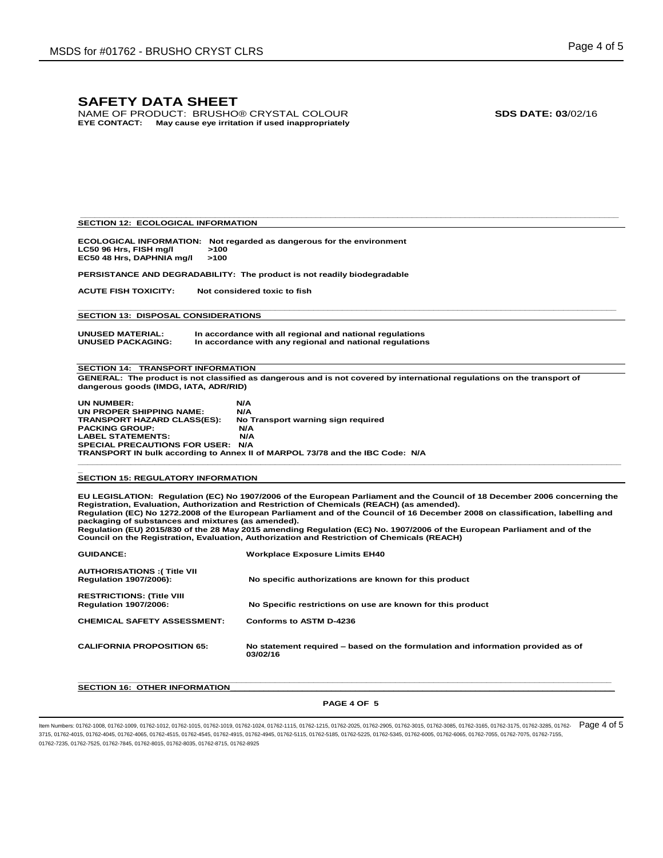NAME OF PRODUCT: BRUSHO® CRYSTAL COLOUR **SDS DATE: 03**/02/16 **EYE CONTACT: May cause eye irritation if used inappropriately**

#### **SECTION 12: ECOLOGICAL INFORMATION**

**ECOLOGICAL INFORMATION: Not regarded as dangerous for the environment LC50 96 Hrs, FISH mg/l >100 EC50 48 Hrs, DAPHNIA mg/l** 

**PERSISTANCE AND DEGRADABILITY: The product is not readily biodegradable**

**ACUTE FISH TOXICITY: Not considered toxic to fish**

**SECTION 13: DISPOSAL CONSIDERATIONS**

**UNUSED MATERIAL: In accordance with all regional and national regulations**  In accordance with any regional and national regulations

**SECTION 14: TRANSPORT INFORMATION GENERAL: The product is not classified as dangerous and is not covered by international regulations on the transport of dangerous goods (IMDG, IATA, ADR/RID)**

**\_\_\_\_\_\_\_\_\_\_\_\_\_\_\_\_\_\_\_\_\_\_\_\_\_\_\_\_\_\_\_\_\_\_\_\_\_\_\_\_\_\_\_\_\_\_\_\_\_\_\_\_\_\_\_\_\_\_\_\_\_\_\_\_\_\_\_\_\_\_\_\_\_\_\_\_\_\_\_\_\_\_\_\_\_\_\_\_\_\_\_\_\_\_\_\_\_\_\_\_\_\_\_\_\_\_\_\_\_\_\_\_** 

**\_\_\_\_\_\_\_\_\_\_\_\_\_\_\_\_\_\_\_\_\_\_\_\_\_\_\_\_\_\_\_\_\_\_\_\_\_\_\_\_\_\_\_\_\_\_\_\_\_\_\_\_\_\_\_\_\_\_\_\_\_\_\_\_\_\_\_\_\_\_\_\_\_\_\_\_\_\_\_\_\_\_\_\_\_\_\_\_\_\_\_\_\_\_\_\_\_\_\_\_\_\_\_\_\_\_\_\_\_\_\_\_**

| <b>UN NUMBER:</b>                  | N/A                                                                           |
|------------------------------------|-------------------------------------------------------------------------------|
| UN PROPER SHIPPING NAME:           | N/A                                                                           |
| <b>TRANSPORT HAZARD CLASS(ES):</b> | No Transport warning sign required                                            |
| <b>PACKING GROUP:</b>              | N/A                                                                           |
| <b>LABEL STATEMENTS:</b>           | N/A                                                                           |
| SPECIAL PRECAUTIONS FOR USER: N/A  |                                                                               |
|                                    | TRANSPORT IN bulk according to Annex II of MARPOL 73/78 and the IBC Code: N/A |

# **\_ SECTION 15: REGULATORY INFORMATION**

**EU LEGISLATION: Regulation (EC) No 1907/2006 of the European Parliament and the Council of 18 December 2006 concerning the**  Registration, Evaluation, Authorization and Restriction of Chemicals (REACH) (as amended).<br>Regulation (EC) No 1272.2008 of the European Parliament and of the Council of 16 December 2008 on classification, labelling and **packaging of substances and mixtures (as amended). Regulation (EU) 2015/830 of the 28 May 2015 amending Regulation (EC) No. 1907/2006 of the European Parliament and of the Council on the Registration, Evaluation, Authorization and Restriction of Chemicals (REACH)**

**\_\_\_\_\_\_\_\_\_\_\_\_\_\_\_\_\_\_\_\_\_\_\_\_\_\_\_\_\_\_\_\_\_\_\_\_\_\_\_\_\_\_\_\_\_\_\_\_\_\_\_\_\_\_\_\_\_\_\_\_\_\_\_\_\_\_\_\_\_\_\_\_\_\_\_\_\_\_\_\_\_\_\_\_\_\_\_\_\_\_\_\_\_\_\_\_\_\_\_\_\_\_\_\_\_\_\_\_\_\_\_\_\_**

| <b>GUIDANCE:</b>                                                   | <b>Workplace Exposure Limits EH40</b>                                                       |
|--------------------------------------------------------------------|---------------------------------------------------------------------------------------------|
| <b>AUTHORISATIONS: (Title VII</b><br><b>Regulation 1907/2006):</b> | No specific authorizations are known for this product                                       |
| <b>RESTRICTIONS: (Title VIII</b><br><b>Regulation 1907/2006:</b>   | No Specific restrictions on use are known for this product                                  |
| <b>CHEMICAL SAFETY ASSESSMENT:</b>                                 | Conforms to ASTM D-4236                                                                     |
| <b>CALIFORNIA PROPOSITION 65:</b>                                  | No statement required – based on the formulation and information provided as of<br>03/02/16 |

#### **SECTION 16: OTHER INFORMATION**

#### **PAGE 4 OF 5**

**\_\_\_\_\_\_\_\_\_\_\_\_\_\_\_\_\_\_\_\_\_\_\_\_\_\_\_\_\_\_\_\_\_\_\_\_\_\_\_\_\_\_\_\_\_\_\_\_\_\_\_\_\_\_\_\_\_\_\_\_\_\_\_\_\_\_\_\_\_\_\_\_\_\_\_\_\_\_\_\_\_\_\_\_\_\_\_\_\_\_\_\_\_\_\_\_\_\_\_\_\_\_\_\_\_\_\_\_\_\_\_**

ltem Numbers: 01762-1008, 01762-1009, 01762-1012, 01762-1015, 01762-1019, 01762-1024, 01762-1115, 01762-1115, 01762-1215, 01762-2005, 01762-3015, 01762-3015, 01762-3015, 01762-3165, 01762-3175, 01762-3285, 01762-3175, 0176 3715, 01762-4015, 01762-4045, 01762-4065, 01762-4515, 01762-4545, 01762-4915, 01762-4945, 01762-5115, 01762-5185, 01762-5225, 01762-5345, 01762-6005, 01762-6065, 01762-7055, 01762-7075, 01762-7155, 01762-7235, 01762-7525, 01762-7845, 01762-8015, 01762-8035, 01762-8715, 01762-8925